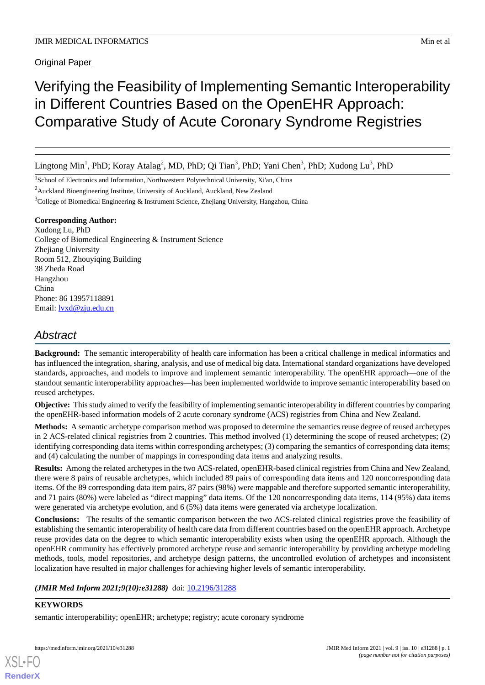Original Paper

# Verifying the Feasibility of Implementing Semantic Interoperability in Different Countries Based on the OpenEHR Approach: Comparative Study of Acute Coronary Syndrome Registries

Lingtong Min<sup>1</sup>, PhD; Koray Atalag<sup>2</sup>, MD, PhD; Qi Tian<sup>3</sup>, PhD; Yani Chen<sup>3</sup>, PhD; Xudong Lu<sup>3</sup>, PhD

<sup>1</sup>School of Electronics and Information, Northwestern Polytechnical University, Xi'an, China

<sup>2</sup>Auckland Bioengineering Institute, University of Auckland, Auckland, New Zealand

<sup>3</sup>College of Biomedical Engineering & Instrument Science, Zhejiang University, Hangzhou, China

## **Corresponding Author:**

Xudong Lu, PhD College of Biomedical Engineering & Instrument Science Zhejiang University Room 512, Zhouyiqing Building 38 Zheda Road Hangzhou China Phone: 86 13957118891 Email: [lvxd@zju.edu.cn](mailto:lvxd@zju.edu.cn)

## *Abstract*

**Background:** The semantic interoperability of health care information has been a critical challenge in medical informatics and has influenced the integration, sharing, analysis, and use of medical big data. International standard organizations have developed standards, approaches, and models to improve and implement semantic interoperability. The openEHR approach—one of the standout semantic interoperability approaches—has been implemented worldwide to improve semantic interoperability based on reused archetypes.

**Objective:** This study aimed to verify the feasibility of implementing semantic interoperability in different countries by comparing the openEHR-based information models of 2 acute coronary syndrome (ACS) registries from China and New Zealand.

**Methods:** A semantic archetype comparison method was proposed to determine the semantics reuse degree of reused archetypes in 2 ACS-related clinical registries from 2 countries. This method involved (1) determining the scope of reused archetypes; (2) identifying corresponding data items within corresponding archetypes; (3) comparing the semantics of corresponding data items; and (4) calculating the number of mappings in corresponding data items and analyzing results.

**Results:** Among the related archetypes in the two ACS-related, openEHR-based clinical registries from China and New Zealand, there were 8 pairs of reusable archetypes, which included 89 pairs of corresponding data items and 120 noncorresponding data items. Of the 89 corresponding data item pairs, 87 pairs (98%) were mappable and therefore supported semantic interoperability, and 71 pairs (80%) were labeled as "direct mapping" data items. Of the 120 noncorresponding data items, 114 (95%) data items were generated via archetype evolution, and 6 (5%) data items were generated via archetype localization.

**Conclusions:** The results of the semantic comparison between the two ACS-related clinical registries prove the feasibility of establishing the semantic interoperability of health care data from different countries based on the openEHR approach. Archetype reuse provides data on the degree to which semantic interoperability exists when using the openEHR approach. Although the openEHR community has effectively promoted archetype reuse and semantic interoperability by providing archetype modeling methods, tools, model repositories, and archetype design patterns, the uncontrolled evolution of archetypes and inconsistent localization have resulted in major challenges for achieving higher levels of semantic interoperability.

## (JMIR Med Inform 2021;9(10):e31288) doi: [10.2196/31288](http://dx.doi.org/10.2196/31288)

## **KEYWORDS**

[XSL](http://www.w3.org/Style/XSL)•FO **[RenderX](http://www.renderx.com/)**

semantic interoperability; openEHR; archetype; registry; acute coronary syndrome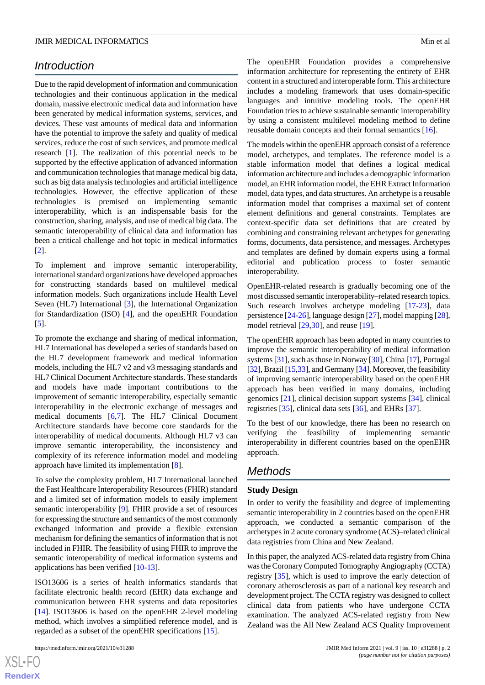## *Introduction*

Due to the rapid development of information and communication technologies and their continuous application in the medical domain, massive electronic medical data and information have been generated by medical information systems, services, and devices. These vast amounts of medical data and information have the potential to improve the safety and quality of medical services, reduce the cost of such services, and promote medical research [\[1](#page-7-0)]. The realization of this potential needs to be supported by the effective application of advanced information and communication technologies that manage medical big data, such as big data analysis technologies and artificial intelligence technologies. However, the effective application of these technologies is premised on implementing semantic interoperability, which is an indispensable basis for the construction, sharing, analysis, and use of medical big data. The semantic interoperability of clinical data and information has been a critical challenge and hot topic in medical informatics [[2\]](#page-7-1).

To implement and improve semantic interoperability, international standard organizations have developed approaches for constructing standards based on multilevel medical information models. Such organizations include Health Level Seven (HL7) International [[3\]](#page-7-2), the International Organization for Standardization (ISO) [\[4](#page-7-3)], and the openEHR Foundation [[5\]](#page-7-4).

To promote the exchange and sharing of medical information, HL7 International has developed a series of standards based on the HL7 development framework and medical information models, including the HL7 v2 and v3 messaging standards and HL7 Clinical Document Architecture standards. These standards and models have made important contributions to the improvement of semantic interoperability, especially semantic interoperability in the electronic exchange of messages and medical documents [[6](#page-7-5)[,7](#page-7-6)]. The HL7 Clinical Document Architecture standards have become core standards for the interoperability of medical documents. Although HL7 v3 can improve semantic interoperability, the inconsistency and complexity of its reference information model and modeling approach have limited its implementation [\[8](#page-7-7)].

To solve the complexity problem, HL7 International launched the Fast Healthcare Interoperability Resources (FHIR) standard and a limited set of information models to easily implement semantic interoperability [[9\]](#page-7-8). FHIR provide a set of resources for expressing the structure and semantics of the most commonly exchanged information and provide a flexible extension mechanism for defining the semantics of information that is not included in FHIR. The feasibility of using FHIR to improve the semantic interoperability of medical information systems and applications has been verified [\[10](#page-7-9)[-13](#page-7-10)].

ISO13606 is a series of health informatics standards that facilitate electronic health record (EHR) data exchange and communication between EHR systems and data repositories [[14\]](#page-7-11). ISO13606 is based on the openEHR 2-level modeling method, which involves a simplified reference model, and is regarded as a subset of the openEHR specifications [\[15](#page-7-12)].

 $XS$ -FO **[RenderX](http://www.renderx.com/)** The openEHR Foundation provides a comprehensive information architecture for representing the entirety of EHR content in a structured and interoperable form. This architecture includes a modeling framework that uses domain-specific languages and intuitive modeling tools. The openEHR Foundation tries to achieve sustainable semantic interoperability by using a consistent multilevel modeling method to define reusable domain concepts and their formal semantics [[16\]](#page-7-13).

The models within the openEHR approach consist of a reference model, archetypes, and templates. The reference model is a stable information model that defines a logical medical information architecture and includes a demographic information model, an EHR information model, the EHR Extract Information model, data types, and data structures. An archetype is a reusable information model that comprises a maximal set of content element definitions and general constraints. Templates are context-specific data set definitions that are created by combining and constraining relevant archetypes for generating forms, documents, data persistence, and messages. Archetypes and templates are defined by domain experts using a formal editorial and publication process to foster semantic interoperability.

OpenEHR-related research is gradually becoming one of the most discussed semantic interoperability–related research topics. Such research involves archetype modeling [[17-](#page-7-14)[23](#page-8-0)], data persistence [[24-](#page-8-1)[26](#page-8-2)], language design [[27\]](#page-8-3), model mapping [\[28\]](#page-8-4), model retrieval [[29](#page-8-5)[,30](#page-8-6)], and reuse [\[19](#page-7-15)].

The openEHR approach has been adopted in many countries to improve the semantic interoperability of medical information systems [[31\]](#page-8-7), such as those in Norway [\[30\]](#page-8-6), China [\[17\]](#page-7-14), Portugal [[32\]](#page-8-8), Brazil [\[15](#page-7-12)[,33](#page-8-9)], and Germany [\[34](#page-8-10)]. Moreover, the feasibility of improving semantic interoperability based on the openEHR approach has been verified in many domains, including genomics [[21\]](#page-7-16), clinical decision support systems [[34\]](#page-8-10), clinical registries [[35\]](#page-8-11), clinical data sets [\[36](#page-8-12)], and EHRs [\[37](#page-8-13)].

To the best of our knowledge, there has been no research on verifying the feasibility of implementing semantic interoperability in different countries based on the openEHR approach.

## *Methods*

#### **Study Design**

In order to verify the feasibility and degree of implementing semantic interoperability in 2 countries based on the openEHR approach, we conducted a semantic comparison of the archetypes in 2 acute coronary syndrome (ACS)–related clinical data registries from China and New Zealand.

In this paper, the analyzed ACS-related data registry from China was the Coronary Computed Tomography Angiography (CCTA) registry [[35\]](#page-8-11), which is used to improve the early detection of coronary atherosclerosis as part of a national key research and development project. The CCTA registry was designed to collect clinical data from patients who have undergone CCTA examination. The analyzed ACS-related registry from New Zealand was the All New Zealand ACS Quality Improvement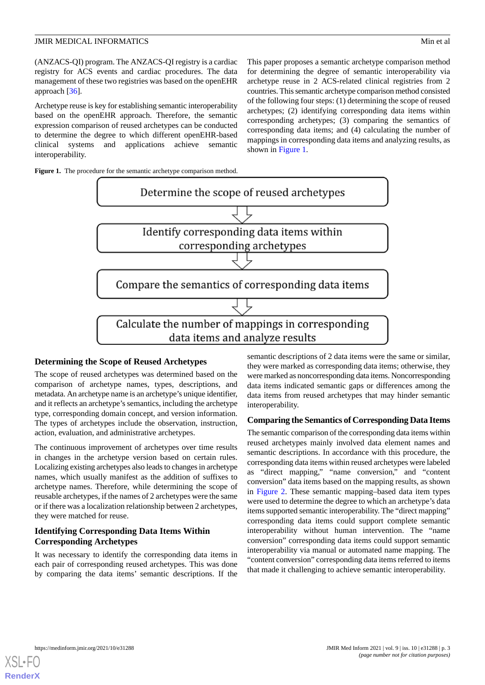(ANZACS-QI) program. The ANZACS-QI registry is a cardiac registry for ACS events and cardiac procedures. The data management of these two registries was based on the openEHR approach [[36](#page-8-12)].

Archetype reuse is key for establishing semantic interoperability based on the openEHR approach. Therefore, the semantic expression comparison of reused archetypes can be conducted to determine the degree to which different openEHR-based clinical systems and applications achieve semantic interoperability.

<span id="page-2-0"></span>Figure 1. The procedure for the semantic archetype comparison method.

This paper proposes a semantic archetype comparison method for determining the degree of semantic interoperability via archetype reuse in 2 ACS-related clinical registries from 2 countries. This semantic archetype comparison method consisted of the following four steps: (1) determining the scope of reused archetypes; (2) identifying corresponding data items within corresponding archetypes; (3) comparing the semantics of corresponding data items; and (4) calculating the number of mappings in corresponding data items and analyzing results, as shown in [Figure 1.](#page-2-0)



#### **Determining the Scope of Reused Archetypes**

The scope of reused archetypes was determined based on the comparison of archetype names, types, descriptions, and metadata. An archetype name is an archetype's unique identifier, and it reflects an archetype's semantics, including the archetype type, corresponding domain concept, and version information. The types of archetypes include the observation, instruction, action, evaluation, and administrative archetypes.

The continuous improvement of archetypes over time results in changes in the archetype version based on certain rules. Localizing existing archetypes also leads to changes in archetype names, which usually manifest as the addition of suffixes to archetype names. Therefore, while determining the scope of reusable archetypes, if the names of 2 archetypes were the same or if there was a localization relationship between 2 archetypes, they were matched for reuse.

## **Identifying Corresponding Data Items Within Corresponding Archetypes**

It was necessary to identify the corresponding data items in each pair of corresponding reused archetypes. This was done by comparing the data items' semantic descriptions. If the

semantic descriptions of 2 data items were the same or similar, they were marked as corresponding data items; otherwise, they were marked as noncorresponding data items. Noncorresponding data items indicated semantic gaps or differences among the data items from reused archetypes that may hinder semantic interoperability.

#### **Comparing the Semantics of Corresponding Data Items**

The semantic comparison of the corresponding data items within reused archetypes mainly involved data element names and semantic descriptions. In accordance with this procedure, the corresponding data items within reused archetypes were labeled as "direct mapping," "name conversion," and "content conversion" data items based on the mapping results, as shown in [Figure 2](#page-3-0). These semantic mapping–based data item types were used to determine the degree to which an archetype's data items supported semantic interoperability. The "direct mapping" corresponding data items could support complete semantic interoperability without human intervention. The "name conversion" corresponding data items could support semantic interoperability via manual or automated name mapping. The "content conversion" corresponding data items referred to items that made it challenging to achieve semantic interoperability.

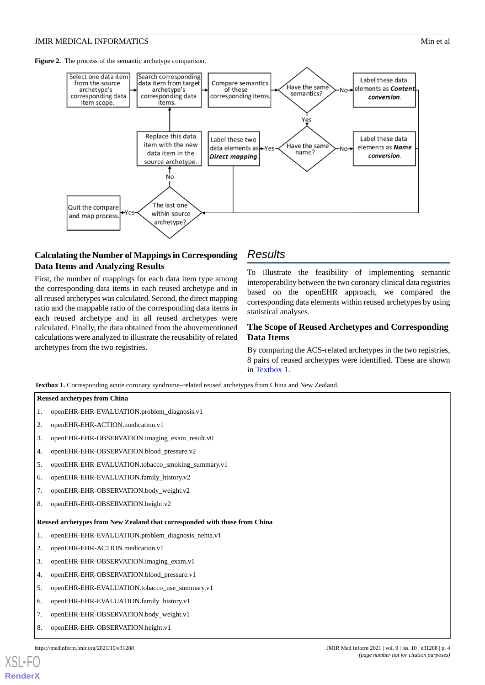<span id="page-3-0"></span>Figure 2. The process of the semantic archetype comparison.



## **Calculating the Number of Mappings in Corresponding Data Items and Analyzing Results**

First, the number of mappings for each data item type among the corresponding data items in each reused archetype and in all reused archetypes was calculated. Second, the direct mapping ratio and the mappable ratio of the corresponding data items in each reused archetype and in all reused archetypes were calculated. Finally, the data obtained from the abovementioned calculations were analyzed to illustrate the reusability of related archetypes from the two registries.

## *Results*

To illustrate the feasibility of implementing semantic interoperability between the two coronary clinical data registries based on the openEHR approach, we compared the corresponding data elements within reused archetypes by using statistical analyses.

## **The Scope of Reused Archetypes and Corresponding Data Items**

By comparing the ACS-related archetypes in the two registries, 8 pairs of reused archetypes were identified. These are shown in [Textbox 1.](#page-3-1)

<span id="page-3-1"></span>**Textbox 1.** Corresponding acute coronary syndrome–related reused archetypes from China and New Zealand.

#### **Reused archetypes from China**

- 1. openEHR-EHR-EVALUATION.problem\_diagnosis.v1
- 2. openEHR-EHR-ACTION.medication.v1
- 3. openEHR-EHR-OBSERVATION.imaging\_exam\_result.v0
- 4. openEHR-EHR-OBSERVATION.blood\_pressure.v2
- 5. openEHR-EHR-EVALUATION.tobacco\_smoking\_summary.v1
- 6. openEHR-EHR-EVALUATION.family\_history.v2
- 7. openEHR-EHR-OBSERVATION.body\_weight.v2
- 8. openEHR-EHR-OBSERVATION.height.v2

#### **Reused archetypes from New Zealand that corresponded with those from China**

- 1. openEHR-EHR-EVALUATION.problem\_diagnosis\_nehta.v1
- 2. openEHR-EHR-ACTION.medication.v1
- 3. openEHR-EHR-OBSERVATION.imaging\_exam.v1
- 4. openEHR-EHR-OBSERVATION.blood\_pressure.v1
- 5. openEHR-EHR-EVALUATION.tobacco\_use\_summary.v1
- 6. openEHR-EHR-EVALUATION.family\_history.v1
- 7. openEHR-EHR-OBSERVATION.body\_weight.v1
- 8. openEHR-EHR-OBSERVATION.height.v1

[XSL](http://www.w3.org/Style/XSL)•FO **[RenderX](http://www.renderx.com/)**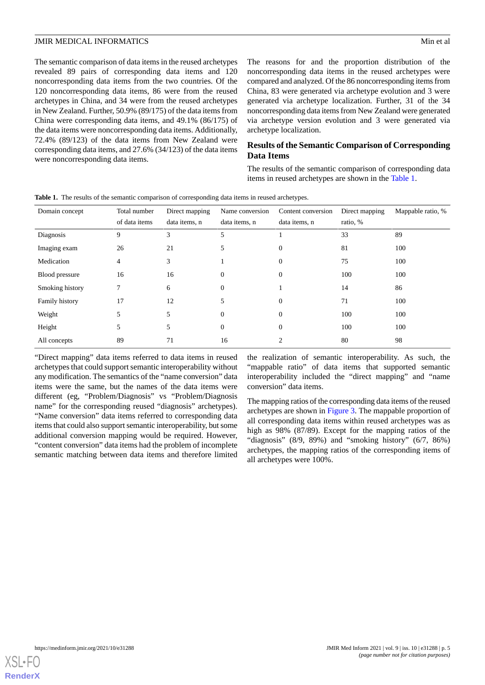The semantic comparison of data items in the reused archetypes revealed 89 pairs of corresponding data items and 120 noncorresponding data items from the two countries. Of the 120 noncorresponding data items, 86 were from the reused archetypes in China, and 34 were from the reused archetypes in New Zealand. Further, 50.9% (89/175) of the data items from China were corresponding data items, and 49.1% (86/175) of the data items were noncorresponding data items. Additionally, 72.4% (89/123) of the data items from New Zealand were corresponding data items, and 27.6% (34/123) of the data items were noncorresponding data items.

The reasons for and the proportion distribution of the noncorresponding data items in the reused archetypes were compared and analyzed. Of the 86 noncorresponding items from China, 83 were generated via archetype evolution and 3 were generated via archetype localization. Further, 31 of the 34 noncorresponding data items from New Zealand were generated via archetype version evolution and 3 were generated via archetype localization.

## **Results of the Semantic Comparison of Corresponding Data Items**

The results of the semantic comparison of corresponding data items in reused archetypes are shown in the [Table 1.](#page-4-0)

| Domain concept  | Total number<br>of data items | Direct mapping<br>data items, n | Name conversion<br>data items, n | Content conversion<br>data items, n | Direct mapping<br>ratio, % | Mappable ratio, % |
|-----------------|-------------------------------|---------------------------------|----------------------------------|-------------------------------------|----------------------------|-------------------|
| Diagnosis       | $\mathbf Q$                   | 3                               | 5                                |                                     | 33                         | 89                |
| Imaging exam    | 26                            | 21                              | 5                                | $\mathbf{0}$                        | 81                         | 100               |
| Medication      | 4                             | 3                               |                                  | $\Omega$                            | 75                         | 100               |
| Blood pressure  | 16                            | 16                              | 0                                | $\mathbf{0}$                        | 100                        | 100               |
| Smoking history |                               | 6                               | $\Omega$                         |                                     | 14                         | 86                |
| Family history  | 17                            | 12                              |                                  | $\mathbf{0}$                        | 71                         | 100               |
| Weight          | 5                             | 5                               | $\Omega$                         | $\mathbf{0}$                        | 100                        | 100               |
| Height          | 5                             | 5                               | $\Omega$                         | $\mathbf{0}$                        | 100                        | 100               |
| All concepts    | 89                            | 71                              | 16                               |                                     | 80                         | 98                |

<span id="page-4-0"></span>**Table 1.** The results of the semantic comparison of corresponding data items in reused archetypes.

"Direct mapping" data items referred to data items in reused archetypes that could support semantic interoperability without any modification. The semantics of the "name conversion" data items were the same, but the names of the data items were different (eg, "Problem/Diagnosis" vs "Problem/Diagnosis name" for the corresponding reused "diagnosis" archetypes). "Name conversion" data items referred to corresponding data items that could also support semantic interoperability, but some additional conversion mapping would be required. However, "content conversion" data items had the problem of incomplete semantic matching between data items and therefore limited

the realization of semantic interoperability. As such, the "mappable ratio" of data items that supported semantic interoperability included the "direct mapping" and "name conversion" data items.

The mapping ratios of the corresponding data items of the reused archetypes are shown in [Figure 3.](#page-5-0) The mappable proportion of all corresponding data items within reused archetypes was as high as 98% (87/89). Except for the mapping ratios of the "diagnosis"  $(8/9, 89\%)$  and "smoking history"  $(6/7, 86\%)$ archetypes, the mapping ratios of the corresponding items of all archetypes were 100%.

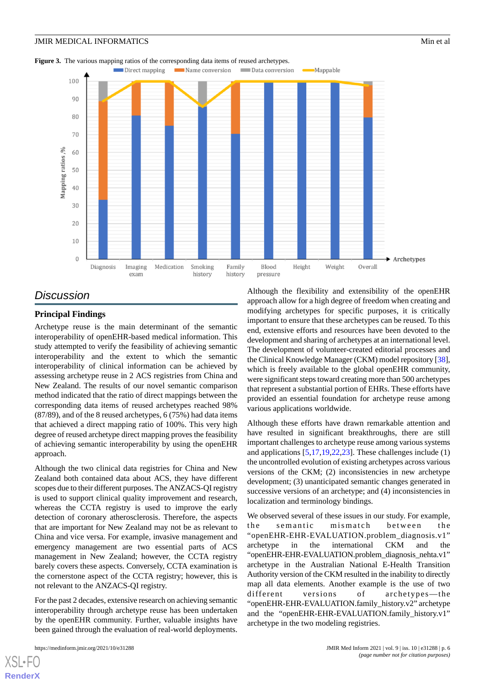<span id="page-5-0"></span>



## *Discussion*

#### **Principal Findings**

Archetype reuse is the main determinant of the semantic interoperability of openEHR-based medical information. This study attempted to verify the feasibility of achieving semantic interoperability and the extent to which the semantic interoperability of clinical information can be achieved by assessing archetype reuse in 2 ACS registries from China and New Zealand. The results of our novel semantic comparison method indicated that the ratio of direct mappings between the corresponding data items of reused archetypes reached 98% (87/89), and of the 8 reused archetypes, 6 (75%) had data items that achieved a direct mapping ratio of 100%. This very high degree of reused archetype direct mapping proves the feasibility of achieving semantic interoperability by using the openEHR approach.

Although the two clinical data registries for China and New Zealand both contained data about ACS, they have different scopes due to their different purposes. The ANZACS-QI registry is used to support clinical quality improvement and research, whereas the CCTA registry is used to improve the early detection of coronary atherosclerosis. Therefore, the aspects that are important for New Zealand may not be as relevant to China and vice versa. For example, invasive management and emergency management are two essential parts of ACS management in New Zealand; however, the CCTA registry barely covers these aspects. Conversely, CCTA examination is the cornerstone aspect of the CCTA registry; however, this is not relevant to the ANZACS-QI registry.

For the past 2 decades, extensive research on achieving semantic interoperability through archetype reuse has been undertaken by the openEHR community. Further, valuable insights have been gained through the evaluation of real-world deployments.

[XSL](http://www.w3.org/Style/XSL)•FO **[RenderX](http://www.renderx.com/)**

Although the flexibility and extensibility of the openEHR approach allow for a high degree of freedom when creating and modifying archetypes for specific purposes, it is critically important to ensure that these archetypes can be reused. To this end, extensive efforts and resources have been devoted to the development and sharing of archetypes at an international level. The development of volunteer-created editorial processes and the Clinical Knowledge Manager (CKM) model repository [\[38\]](#page-8-14), which is freely available to the global openEHR community, were significant steps toward creating more than 500 archetypes that represent a substantial portion of EHRs. These efforts have provided an essential foundation for archetype reuse among various applications worldwide.

Although these efforts have drawn remarkable attention and have resulted in significant breakthroughs, there are still important challenges to archetype reuse among various systems and applications [[5,](#page-7-4)[17](#page-7-14),[19,](#page-7-15)[22](#page-8-15),[23\]](#page-8-0). These challenges include (1) the uncontrolled evolution of existing archetypes across various versions of the CKM; (2) inconsistencies in new archetype development; (3) unanticipated semantic changes generated in successive versions of an archetype; and (4) inconsistencies in localization and terminology bindings.

We observed several of these issues in our study. For example, the semantic mismatch between the "openEHR-EHR-EVALUATION.problem\_diagnosis.v1" archetype in the international CKM and the "openEHR-EHR-EVALUATION.problem\_diagnosis\_nehta.v1" archetype in the Australian National E-Health Transition Authority version of the CKM resulted in the inability to directly map all data elements. Another example is the use of two different versions of archetypes—the "openEHR-EHR-EVALUATION.family\_history.v2" archetype and the "openEHR-EHR-EVALUATION.family\_history.v1" archetype in the two modeling registries.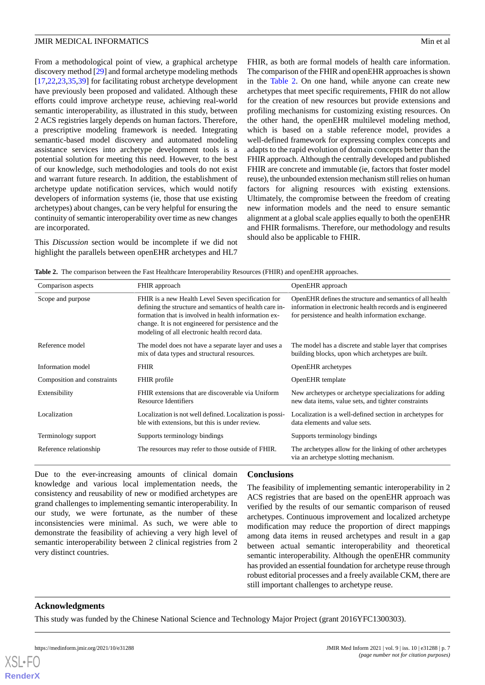From a methodological point of view, a graphical archetype discovery method [[29\]](#page-8-5) and formal archetype modeling methods [[17](#page-7-14)[,22](#page-8-15),[23](#page-8-0)[,35](#page-8-11),[39\]](#page-8-16) for facilitating robust archetype development have previously been proposed and validated. Although these efforts could improve archetype reuse, achieving real-world semantic interoperability, as illustrated in this study, between 2 ACS registries largely depends on human factors. Therefore, a prescriptive modeling framework is needed. Integrating semantic-based model discovery and automated modeling assistance services into archetype development tools is a potential solution for meeting this need. However, to the best of our knowledge, such methodologies and tools do not exist and warrant future research. In addition, the establishment of archetype update notification services, which would notify developers of information systems (ie, those that use existing archetypes) about changes, can be very helpful for ensuring the continuity of semantic interoperability over time as new changes are incorporated.

<span id="page-6-0"></span>This *Discussion* section would be incomplete if we did not highlight the parallels between openEHR archetypes and HL7 FHIR, as both are formal models of health care information. The comparison of the FHIR and openEHR approaches is shown in the [Table 2](#page-6-0). On one hand, while anyone can create new archetypes that meet specific requirements, FHIR do not allow for the creation of new resources but provide extensions and profiling mechanisms for customizing existing resources. On the other hand, the openEHR multilevel modeling method, which is based on a stable reference model, provides a well-defined framework for expressing complex concepts and adapts to the rapid evolution of domain concepts better than the FHIR approach. Although the centrally developed and published FHIR are concrete and immutable (ie, factors that foster model reuse), the unbounded extension mechanism still relies on human factors for aligning resources with existing extensions. Ultimately, the compromise between the freedom of creating new information models and the need to ensure semantic alignment at a global scale applies equally to both the openEHR and FHIR formalisms. Therefore, our methodology and results should also be applicable to FHIR.

**Table 2.** The comparison between the Fast Healthcare Interoperability Resources (FHIR) and openEHR approaches.

| Comparison aspects                                                          | FHIR approach                                                                                                                                                                                                                                                                   | OpenEHR approach                                                                                                                                                            |  |
|-----------------------------------------------------------------------------|---------------------------------------------------------------------------------------------------------------------------------------------------------------------------------------------------------------------------------------------------------------------------------|-----------------------------------------------------------------------------------------------------------------------------------------------------------------------------|--|
| Scope and purpose                                                           | FHIR is a new Health Level Seven specification for<br>defining the structure and semantics of health care in-<br>formation that is involved in health information ex-<br>change. It is not engineered for persistence and the<br>modeling of all electronic health record data. | OpenEHR defines the structure and semantics of all health<br>information in electronic health records and is engineered<br>for persistence and health information exchange. |  |
| Reference model                                                             | The model does not have a separate layer and uses a<br>mix of data types and structural resources.                                                                                                                                                                              | The model has a discrete and stable layer that comprises<br>building blocks, upon which archetypes are built.                                                               |  |
| Information model                                                           | <b>FHIR</b>                                                                                                                                                                                                                                                                     | <b>OpenEHR</b> archetypes                                                                                                                                                   |  |
| Composition and constraints                                                 | FHIR profile                                                                                                                                                                                                                                                                    | OpenEHR template                                                                                                                                                            |  |
| Extensibility                                                               | FHIR extensions that are discoverable via Uniform<br>Resource Identifiers                                                                                                                                                                                                       | New archetypes or archetype specializations for adding<br>new data items, value sets, and tighter constraints                                                               |  |
| Localization                                                                | Localization is not well defined. Localization is possi-<br>ble with extensions, but this is under review.                                                                                                                                                                      | Localization is a well-defined section in archetypes for<br>data elements and value sets.                                                                                   |  |
| Terminology support                                                         | Supports terminology bindings                                                                                                                                                                                                                                                   | Supports terminology bindings                                                                                                                                               |  |
| Reference relationship<br>The resources may refer to those outside of FHIR. |                                                                                                                                                                                                                                                                                 | The archetypes allow for the linking of other archetypes<br>via an archetype slotting mechanism.                                                                            |  |

Due to the ever-increasing amounts of clinical domain knowledge and various local implementation needs, the consistency and reusability of new or modified archetypes are grand challenges to implementing semantic interoperability. In our study, we were fortunate, as the number of these inconsistencies were minimal. As such, we were able to demonstrate the feasibility of achieving a very high level of semantic interoperability between 2 clinical registries from 2 very distinct countries.

## **Conclusions**

The feasibility of implementing semantic interoperability in 2 ACS registries that are based on the openEHR approach was verified by the results of our semantic comparison of reused archetypes. Continuous improvement and localized archetype modification may reduce the proportion of direct mappings among data items in reused archetypes and result in a gap between actual semantic interoperability and theoretical semantic interoperability. Although the openEHR community has provided an essential foundation for archetype reuse through robust editorial processes and a freely available CKM, there are still important challenges to archetype reuse.

## **Acknowledgments**

This study was funded by the Chinese National Science and Technology Major Project (grant 2016YFC1300303).

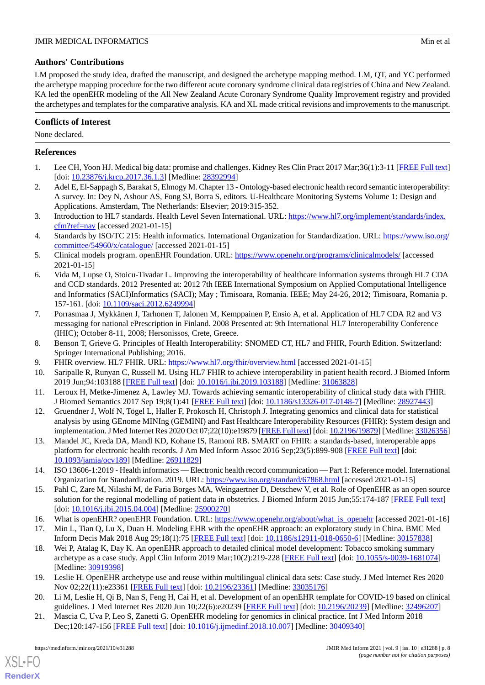## **Authors' Contributions**

LM proposed the study idea, drafted the manuscript, and designed the archetype mapping method. LM, QT, and YC performed the archetype mapping procedure for the two different acute coronary syndrome clinical data registries of China and New Zealand. KA led the openEHR modeling of the All New Zealand Acute Coronary Syndrome Quality Improvement registry and provided the archetypes and templates for the comparative analysis. KA and XL made critical revisions and improvements to the manuscript.

## **Conflicts of Interest**

None declared.

## <span id="page-7-0"></span>**References**

- <span id="page-7-1"></span>1. Lee CH, Yoon HJ. Medical big data: promise and challenges. Kidney Res Clin Pract 2017 Mar;36(1):3-11 [[FREE Full text](http://www.krcp-ksn.org/journal/view.html?doi=10.23876/j.krcp.2017.36.1.3)] [doi: [10.23876/j.krcp.2017.36.1.3](http://dx.doi.org/10.23876/j.krcp.2017.36.1.3)] [Medline: [28392994](http://www.ncbi.nlm.nih.gov/entrez/query.fcgi?cmd=Retrieve&db=PubMed&list_uids=28392994&dopt=Abstract)]
- <span id="page-7-2"></span>2. Adel E, El-Sappagh S, Barakat S, Elmogy M. Chapter 13 - Ontology-based electronic health record semantic interoperability: A survey. In: Dey N, Ashour AS, Fong SJ, Borra S, editors. U-Healthcare Monitoring Systems Volume 1: Design and Applications. Amsterdam, The Netherlands: Elsevier; 2019:315-352.
- <span id="page-7-3"></span>3. Introduction to HL7 standards. Health Level Seven International. URL: [https://www.hl7.org/implement/standards/index.](https://www.hl7.org/implement/standards/index.cfm?ref=nav) [cfm?ref=nav](https://www.hl7.org/implement/standards/index.cfm?ref=nav) [accessed 2021-01-15]
- <span id="page-7-4"></span>4. Standards by ISO/TC 215: Health informatics. International Organization for Standardization. URL: [https://www.iso.org/](https://www.iso.org/committee/54960/x/catalogue/) [committee/54960/x/catalogue/](https://www.iso.org/committee/54960/x/catalogue/) [accessed 2021-01-15]
- <span id="page-7-5"></span>5. Clinical models program. openEHR Foundation. URL: <https://www.openehr.org/programs/clinicalmodels/> [accessed 2021-01-15]
- <span id="page-7-6"></span>6. Vida M, Lupse O, Stoicu-Tivadar L. Improving the interoperability of healthcare information systems through HL7 CDA and CCD standards. 2012 Presented at: 2012 7th IEEE International Symposium on Applied Computational Intelligence and Informatics (SACI)Informatics (SACI); May ; Timisoara, Romania. IEEE; May 24-26, 2012; Timisoara, Romania p. 157-161. [doi: [10.1109/saci.2012.6249994](http://dx.doi.org/10.1109/saci.2012.6249994)]
- <span id="page-7-8"></span><span id="page-7-7"></span>7. Porrasmaa J, Mykkänen J, Tarhonen T, Jalonen M, Kemppainen P, Ensio A, et al. Application of HL7 CDA R2 and V3 messaging for national ePrescription in Finland. 2008 Presented at: 9th International HL7 Interoperability Conference (IHIC); October 8-11, 2008; Hersonissos, Crete, Greece.
- <span id="page-7-9"></span>8. Benson T, Grieve G. Principles of Health Interoperability: SNOMED CT, HL7 and FHIR, Fourth Edition. Switzerland: Springer International Publishing; 2016.
- 9. FHIR overview. HL7 FHIR. URL: <https://www.hl7.org/fhir/overview.html> [accessed 2021-01-15]
- 10. Saripalle R, Runyan C, Russell M. Using HL7 FHIR to achieve interoperability in patient health record. J Biomed Inform 2019 Jun;94:103188 [\[FREE Full text\]](https://linkinghub.elsevier.com/retrieve/pii/S1532-0464(19)30106-6) [doi: [10.1016/j.jbi.2019.103188](http://dx.doi.org/10.1016/j.jbi.2019.103188)] [Medline: [31063828\]](http://www.ncbi.nlm.nih.gov/entrez/query.fcgi?cmd=Retrieve&db=PubMed&list_uids=31063828&dopt=Abstract)
- <span id="page-7-10"></span>11. Leroux H, Metke-Jimenez A, Lawley MJ. Towards achieving semantic interoperability of clinical study data with FHIR. J Biomed Semantics 2017 Sep 19;8(1):41 [[FREE Full text](https://jbiomedsem.biomedcentral.com/articles/10.1186/s13326-017-0148-7)] [doi: [10.1186/s13326-017-0148-7](http://dx.doi.org/10.1186/s13326-017-0148-7)] [Medline: [28927443](http://www.ncbi.nlm.nih.gov/entrez/query.fcgi?cmd=Retrieve&db=PubMed&list_uids=28927443&dopt=Abstract)]
- <span id="page-7-11"></span>12. Gruendner J, Wolf N, Tögel L, Haller F, Prokosch H, Christoph J. Integrating genomics and clinical data for statistical analysis by using GEnome MINIng (GEMINI) and Fast Healthcare Interoperability Resources (FHIR): System design and implementation. J Med Internet Res 2020 Oct 07;22(10):e19879 [[FREE Full text](https://www.jmir.org/2020/10/e19879/)] [doi: [10.2196/19879](http://dx.doi.org/10.2196/19879)] [Medline: [33026356](http://www.ncbi.nlm.nih.gov/entrez/query.fcgi?cmd=Retrieve&db=PubMed&list_uids=33026356&dopt=Abstract)]
- <span id="page-7-12"></span>13. Mandel JC, Kreda DA, Mandl KD, Kohane IS, Ramoni RB. SMART on FHIR: a standards-based, interoperable apps platform for electronic health records. J Am Med Inform Assoc 2016 Sep;23(5):899-908 [[FREE Full text](http://europepmc.org/abstract/MED/26911829)] [doi: [10.1093/jamia/ocv189](http://dx.doi.org/10.1093/jamia/ocv189)] [Medline: [26911829](http://www.ncbi.nlm.nih.gov/entrez/query.fcgi?cmd=Retrieve&db=PubMed&list_uids=26911829&dopt=Abstract)]
- <span id="page-7-14"></span><span id="page-7-13"></span>14. ISO 13606-1:2019 - Health informatics — Electronic health record communication — Part 1: Reference model. International Organization for Standardization. 2019. URL:<https://www.iso.org/standard/67868.html> [accessed 2021-01-15]
- 15. Pahl C, Zare M, Nilashi M, de Faria Borges MA, Weingaertner D, Detschew V, et al. Role of OpenEHR as an open source solution for the regional modelling of patient data in obstetrics. J Biomed Inform 2015 Jun;55:174-187 [[FREE Full text\]](https://linkinghub.elsevier.com/retrieve/pii/S1532-0464(15)00071-4) [doi: [10.1016/j.jbi.2015.04.004\]](http://dx.doi.org/10.1016/j.jbi.2015.04.004) [Medline: [25900270](http://www.ncbi.nlm.nih.gov/entrez/query.fcgi?cmd=Retrieve&db=PubMed&list_uids=25900270&dopt=Abstract)]
- <span id="page-7-15"></span>16. What is openEHR? openEHR Foundation. URL: [https://www.openehr.org/about/what\\_is\\_openehr](https://www.openehr.org/about/what_is_openehr) [accessed 2021-01-16]
- 17. Min L, Tian Q, Lu X, Duan H. Modeling EHR with the openEHR approach: an exploratory study in China. BMC Med Inform Decis Mak 2018 Aug 29;18(1):75 [\[FREE Full text\]](https://bmcmedinformdecismak.biomedcentral.com/articles/10.1186/s12911-018-0650-6) [doi: [10.1186/s12911-018-0650-6\]](http://dx.doi.org/10.1186/s12911-018-0650-6) [Medline: [30157838\]](http://www.ncbi.nlm.nih.gov/entrez/query.fcgi?cmd=Retrieve&db=PubMed&list_uids=30157838&dopt=Abstract)
- <span id="page-7-16"></span>18. Wei P, Atalag K, Day K. An openEHR approach to detailed clinical model development: Tobacco smoking summary archetype as a case study. Appl Clin Inform 2019 Mar;10(2):219-228 [\[FREE Full text\]](http://europepmc.org/abstract/MED/30919398) [doi: [10.1055/s-0039-1681074\]](http://dx.doi.org/10.1055/s-0039-1681074) [Medline: [30919398](http://www.ncbi.nlm.nih.gov/entrez/query.fcgi?cmd=Retrieve&db=PubMed&list_uids=30919398&dopt=Abstract)]
- 19. Leslie H. OpenEHR archetype use and reuse within multilingual clinical data sets: Case study. J Med Internet Res 2020 Nov 02;22(11):e23361 [[FREE Full text](https://www.jmir.org/2020/11/e23361/)] [doi: [10.2196/23361\]](http://dx.doi.org/10.2196/23361) [Medline: [33035176](http://www.ncbi.nlm.nih.gov/entrez/query.fcgi?cmd=Retrieve&db=PubMed&list_uids=33035176&dopt=Abstract)]
- 20. Li M, Leslie H, Qi B, Nan S, Feng H, Cai H, et al. Development of an openEHR template for COVID-19 based on clinical guidelines. J Med Internet Res 2020 Jun 10;22(6):e20239 [\[FREE Full text\]](https://www.jmir.org/2020/6/e20239/) [doi: [10.2196/20239](http://dx.doi.org/10.2196/20239)] [Medline: [32496207](http://www.ncbi.nlm.nih.gov/entrez/query.fcgi?cmd=Retrieve&db=PubMed&list_uids=32496207&dopt=Abstract)]
- 21. Mascia C, Uva P, Leo S, Zanetti G. OpenEHR modeling for genomics in clinical practice. Int J Med Inform 2018 Dec;120:147-156 [\[FREE Full text\]](https://doi.org/10.1016/j.ijmedinf.2018.10.007) [doi: [10.1016/j.ijmedinf.2018.10.007\]](http://dx.doi.org/10.1016/j.ijmedinf.2018.10.007) [Medline: [30409340\]](http://www.ncbi.nlm.nih.gov/entrez/query.fcgi?cmd=Retrieve&db=PubMed&list_uids=30409340&dopt=Abstract)

[XSL](http://www.w3.org/Style/XSL)•FO **[RenderX](http://www.renderx.com/)**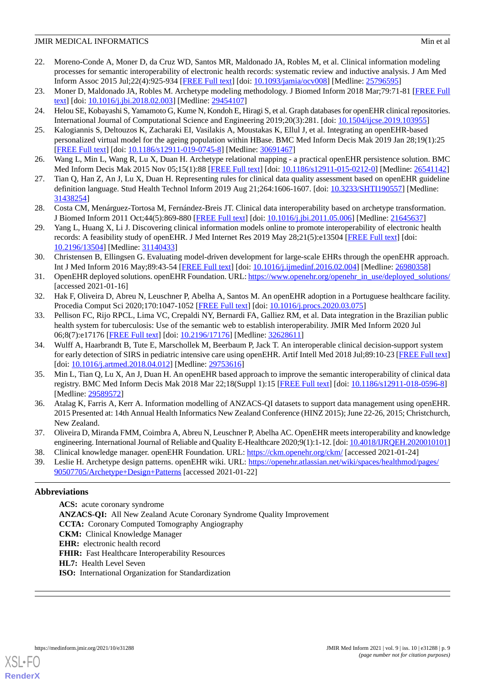- <span id="page-8-15"></span>22. Moreno-Conde A, Moner D, da Cruz WD, Santos MR, Maldonado JA, Robles M, et al. Clinical information modeling processes for semantic interoperability of electronic health records: systematic review and inductive analysis. J Am Med Inform Assoc 2015 Jul;22(4):925-934 [\[FREE Full text\]](https://academic.oup.com/jamia/article/22/4/925/1746224) [doi: [10.1093/jamia/ocv008\]](http://dx.doi.org/10.1093/jamia/ocv008) [Medline: [25796595](http://www.ncbi.nlm.nih.gov/entrez/query.fcgi?cmd=Retrieve&db=PubMed&list_uids=25796595&dopt=Abstract)]
- <span id="page-8-1"></span><span id="page-8-0"></span>23. Moner D, Maldonado JA, Robles M. Archetype modeling methodology. J Biomed Inform 2018 Mar;79:71-81 [[FREE Full](https://linkinghub.elsevier.com/retrieve/pii/S1532-0464(18)30022-4) [text](https://linkinghub.elsevier.com/retrieve/pii/S1532-0464(18)30022-4)] [doi: [10.1016/j.jbi.2018.02.003](http://dx.doi.org/10.1016/j.jbi.2018.02.003)] [Medline: [29454107\]](http://www.ncbi.nlm.nih.gov/entrez/query.fcgi?cmd=Retrieve&db=PubMed&list_uids=29454107&dopt=Abstract)
- 24. Helou SE, Kobayashi S, Yamamoto G, Kume N, Kondoh E, Hiragi S, et al. Graph databases for openEHR clinical repositories. International Journal of Computational Science and Engineering 2019;20(3):281. [doi: [10.1504/ijcse.2019.103955\]](http://dx.doi.org/10.1504/ijcse.2019.103955)
- <span id="page-8-2"></span>25. Kalogiannis S, Deltouzos K, Zacharaki EI, Vasilakis A, Moustakas K, Ellul J, et al. Integrating an openEHR-based personalized virtual model for the ageing population within HBase. BMC Med Inform Decis Mak 2019 Jan 28;19(1):25 [[FREE Full text](https://bmcmedinformdecismak.biomedcentral.com/articles/10.1186/s12911-019-0745-8)] [doi: [10.1186/s12911-019-0745-8\]](http://dx.doi.org/10.1186/s12911-019-0745-8) [Medline: [30691467](http://www.ncbi.nlm.nih.gov/entrez/query.fcgi?cmd=Retrieve&db=PubMed&list_uids=30691467&dopt=Abstract)]
- <span id="page-8-3"></span>26. Wang L, Min L, Wang R, Lu X, Duan H. Archetype relational mapping - a practical openEHR persistence solution. BMC Med Inform Decis Mak 2015 Nov 05;15(1):88 [[FREE Full text](https://bmcmedinformdecismak.biomedcentral.com/articles/10.1186/s12911-015-0212-0)] [doi: [10.1186/s12911-015-0212-0\]](http://dx.doi.org/10.1186/s12911-015-0212-0) [Medline: [26541142](http://www.ncbi.nlm.nih.gov/entrez/query.fcgi?cmd=Retrieve&db=PubMed&list_uids=26541142&dopt=Abstract)]
- <span id="page-8-4"></span>27. Tian Q, Han Z, An J, Lu X, Duan H. Representing rules for clinical data quality assessment based on openEHR guideline definition language. Stud Health Technol Inform 2019 Aug 21;264:1606-1607. [doi: [10.3233/SHTI190557\]](http://dx.doi.org/10.3233/SHTI190557) [Medline: [31438254](http://www.ncbi.nlm.nih.gov/entrez/query.fcgi?cmd=Retrieve&db=PubMed&list_uids=31438254&dopt=Abstract)]
- <span id="page-8-5"></span>28. Costa CM, Menárguez-Tortosa M, Fernández-Breis JT. Clinical data interoperability based on archetype transformation. J Biomed Inform 2011 Oct;44(5):869-880 [[FREE Full text](https://linkinghub.elsevier.com/retrieve/pii/S1532-0464(11)00097-9)] [doi: [10.1016/j.jbi.2011.05.006\]](http://dx.doi.org/10.1016/j.jbi.2011.05.006) [Medline: [21645637\]](http://www.ncbi.nlm.nih.gov/entrez/query.fcgi?cmd=Retrieve&db=PubMed&list_uids=21645637&dopt=Abstract)
- <span id="page-8-6"></span>29. Yang L, Huang X, Li J. Discovering clinical information models online to promote interoperability of electronic health records: A feasibility study of openEHR. J Med Internet Res 2019 May 28;21(5):e13504 [\[FREE Full text\]](https://www.jmir.org/2019/5/e13504/) [doi: [10.2196/13504\]](http://dx.doi.org/10.2196/13504) [Medline: [31140433\]](http://www.ncbi.nlm.nih.gov/entrez/query.fcgi?cmd=Retrieve&db=PubMed&list_uids=31140433&dopt=Abstract)
- <span id="page-8-7"></span>30. Christensen B, Ellingsen G. Evaluating model-driven development for large-scale EHRs through the openEHR approach. Int J Med Inform 2016 May;89:43-54 [\[FREE Full text\]](https://doi.org/10.1016/j.ijmedinf.2016.02.004) [doi: [10.1016/j.ijmedinf.2016.02.004\]](http://dx.doi.org/10.1016/j.ijmedinf.2016.02.004) [Medline: [26980358\]](http://www.ncbi.nlm.nih.gov/entrez/query.fcgi?cmd=Retrieve&db=PubMed&list_uids=26980358&dopt=Abstract)
- <span id="page-8-9"></span><span id="page-8-8"></span>31. OpenEHR deployed solutions. openEHR Foundation. URL: [https://www.openehr.org/openehr\\_in\\_use/deployed\\_solutions/](https://www.openehr.org/openehr_in_use/deployed_solutions/) [accessed 2021-01-16]
- 32. Hak F, Oliveira D, Abreu N, Leuschner P, Abelha A, Santos M. An openEHR adoption in a Portuguese healthcare facility. Procedia Comput Sci 2020;170:1047-1052 [[FREE Full text](https://doi.org/10.1016/j.procs.2020.03.075)] [doi: [10.1016/j.procs.2020.03.075](http://dx.doi.org/10.1016/j.procs.2020.03.075)]
- <span id="page-8-10"></span>33. Pellison FC, Rijo RPCL, Lima VC, Crepaldi NY, Bernardi FA, Galliez RM, et al. Data integration in the Brazilian public health system for tuberculosis: Use of the semantic web to establish interoperability. JMIR Med Inform 2020 Jul 06;8(7):e17176 [\[FREE Full text](https://medinform.jmir.org/2020/7/e17176/)] [doi: [10.2196/17176\]](http://dx.doi.org/10.2196/17176) [Medline: [32628611\]](http://www.ncbi.nlm.nih.gov/entrez/query.fcgi?cmd=Retrieve&db=PubMed&list_uids=32628611&dopt=Abstract)
- <span id="page-8-11"></span>34. Wulff A, Haarbrandt B, Tute E, Marschollek M, Beerbaum P, Jack T. An interoperable clinical decision-support system for early detection of SIRS in pediatric intensive care using openEHR. Artif Intell Med 2018 Jul;89:10-23 [[FREE Full text](https://linkinghub.elsevier.com/retrieve/pii/S0933-3657(17)30440-2)] [doi: [10.1016/j.artmed.2018.04.012\]](http://dx.doi.org/10.1016/j.artmed.2018.04.012) [Medline: [29753616](http://www.ncbi.nlm.nih.gov/entrez/query.fcgi?cmd=Retrieve&db=PubMed&list_uids=29753616&dopt=Abstract)]
- <span id="page-8-12"></span>35. Min L, Tian Q, Lu X, An J, Duan H. An openEHR based approach to improve the semantic interoperability of clinical data registry. BMC Med Inform Decis Mak 2018 Mar 22;18(Suppl 1):15 [[FREE Full text](https://bmcmedinformdecismak.biomedcentral.com/articles/10.1186/s12911-018-0596-8)] [doi: [10.1186/s12911-018-0596-8\]](http://dx.doi.org/10.1186/s12911-018-0596-8) [Medline: [29589572](http://www.ncbi.nlm.nih.gov/entrez/query.fcgi?cmd=Retrieve&db=PubMed&list_uids=29589572&dopt=Abstract)]
- <span id="page-8-16"></span><span id="page-8-14"></span><span id="page-8-13"></span>36. Atalag K, Farris A, Kerr A. Information modelling of ANZACS-QI datasets to support data management using openEHR. 2015 Presented at: 14th Annual Health Informatics New Zealand Conference (HINZ 2015); June 22-26, 2015; Christchurch, New Zealand.
- 37. Oliveira D, Miranda FMM, Coimbra A, Abreu N, Leuschner P, Abelha AC. OpenEHR meets interoperability and knowledge engineering. International Journal of Reliable and Quality E-Healthcare 2020;9(1):1-12. [doi: [10.4018/IJRQEH.2020010101](http://dx.doi.org/10.4018/IJRQEH.2020010101)]
- 38. Clinical knowledge manager. openEHR Foundation. URL:<https://ckm.openehr.org/ckm/> [accessed 2021-01-24]
- 39. Leslie H. Archetype design patterns. openEHR wiki. URL: [https://openehr.atlassian.net/wiki/spaces/healthmod/pages/](https://openehr.atlassian.net/wiki/spaces/healthmod/pages/90507705/Archetype+Design+Patterns) [90507705/Archetype+Design+Patterns](https://openehr.atlassian.net/wiki/spaces/healthmod/pages/90507705/Archetype+Design+Patterns) [accessed 2021-01-22]

## **Abbreviations**

**ACS:** acute coronary syndrome **ANZACS-QI:** All New Zealand Acute Coronary Syndrome Quality Improvement **CCTA:** Coronary Computed Tomography Angiography **CKM:** Clinical Knowledge Manager **EHR:** electronic health record FHIR: Fast Healthcare Interoperability Resources **HL7:** Health Level Seven **ISO:** International Organization for Standardization